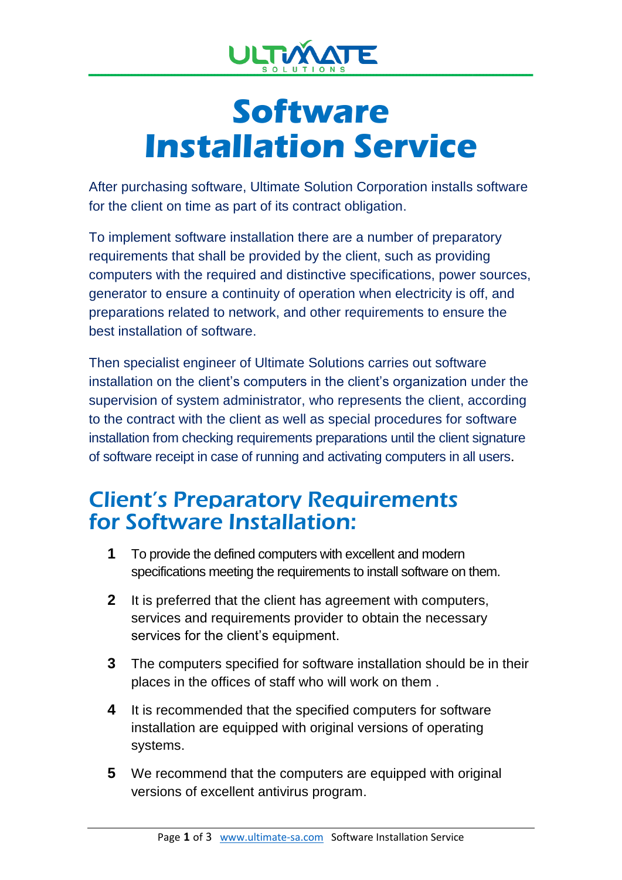

## **Software Installation Service**

After purchasing software, Ultimate Solution Corporation installs software for the client on time as part of its contract obligation.

To implement software installation there are a number of preparatory requirements that shall be provided by the client, such as providing computers with the required and distinctive specifications, power sources, generator to ensure a continuity of operation when electricity is off, and preparations related to network, and other requirements to ensure the best installation of software.

Then specialist engineer of Ultimate Solutions carries out software installation on the client's computers in the client's organization under the supervision of system administrator, who represents the client, according to the contract with the client as well as special procedures for software installation from checking requirements preparations until the client signature of software receipt in case of running and activating computers in all users.

## Client's Preparatory Requirements for Software Installation:

- **1** To provide the defined computers with excellent and modern specifications meeting the requirements to install software on them.
- **2** It is preferred that the client has agreement with computers, services and requirements provider to obtain the necessary services for the client's equipment.
- **3** The computers specified for software installation should be in their places in the offices of staff who will work on them .
- **4** It is recommended that the specified computers for software installation are equipped with original versions of operating systems.
- **5** We recommend that the computers are equipped with original versions of excellent antivirus program.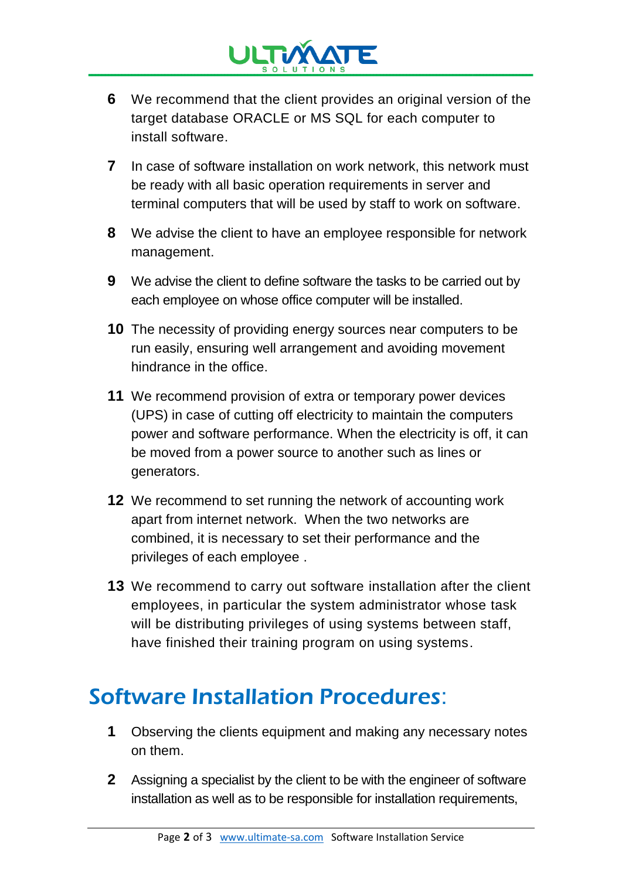

- **6** We recommend that the client provides an original version of the target database ORACLE or MS SQL for each computer to install software.
- **7** In case of software installation on work network, this network must be ready with all basic operation requirements in server and terminal computers that will be used by staff to work on software.
- **8** We advise the client to have an employee responsible for network management.
- **9** We advise the client to define software the tasks to be carried out by each employee on whose office computer will be installed.
- **10** The necessity of providing energy sources near computers to be run easily, ensuring well arrangement and avoiding movement hindrance in the office.
- **11** We recommend provision of extra or temporary power devices (UPS) in case of cutting off electricity to maintain the computers power and software performance. When the electricity is off, it can be moved from a power source to another such as lines or generators.
- **12** We recommend to set running the network of accounting work apart from internet network. When the two networks are combined, it is necessary to set their performance and the privileges of each employee .
- **13** We recommend to carry out software installation after the client employees, in particular the system administrator whose task will be distributing privileges of using systems between staff, have finished their training program on using systems.

## Software Installation Procedures:

- **1** Observing the clients equipment and making any necessary notes on them.
- **2** Assigning a specialist by the client to be with the engineer of software installation as well as to be responsible for installation requirements,